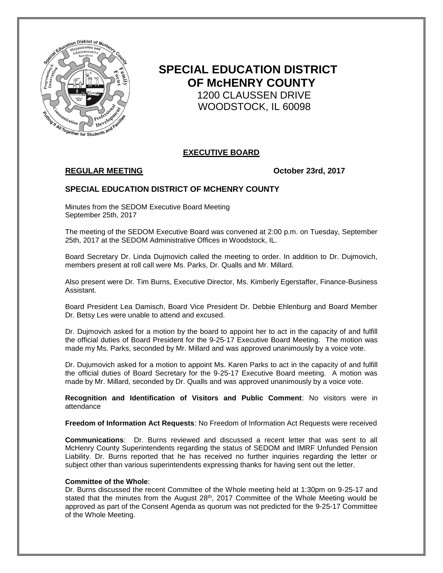

# **SPECIAL EDUCATION DISTRICT OF McHENRY COUNTY** 1200 CLAUSSEN DRIVE WOODSTOCK, IL 60098

# **EXECUTIVE BOARD**

# **REGULAR MEETING October 23rd, 2017**

## **SPECIAL EDUCATION DISTRICT OF MCHENRY COUNTY**

Minutes from the SEDOM Executive Board Meeting September 25th, 2017

The meeting of the SEDOM Executive Board was convened at 2:00 p.m. on Tuesday, September 25th, 2017 at the SEDOM Administrative Offices in Woodstock, IL.

Board Secretary Dr. Linda Dujmovich called the meeting to order. In addition to Dr. Dujmovich, members present at roll call were Ms. Parks, Dr. Qualls and Mr. Millard.

Also present were Dr. Tim Burns, Executive Director, Ms. Kimberly Egerstaffer, Finance-Business Assistant.

Board President Lea Damisch, Board Vice President Dr. Debbie Ehlenburg and Board Member Dr. Betsy Les were unable to attend and excused.

Dr. Dujmovich asked for a motion by the board to appoint her to act in the capacity of and fulfill the official duties of Board President for the 9-25-17 Executive Board Meeting. The motion was made my Ms. Parks, seconded by Mr. Millard and was approved unanimously by a voice vote.

Dr. Dujumovich asked for a motion to appoint Ms. Karen Parks to act in the capacity of and fulfill the official duties of Board Secretary for the 9-25-17 Executive Board meeting. A motion was made by Mr. Millard, seconded by Dr. Qualls and was approved unanimously by a voice vote.

**Recognition and Identification of Visitors and Public Comment**: No visitors were in attendance

**Freedom of Information Act Requests**: No Freedom of Information Act Requests were received

**Communications**: Dr. Burns reviewed and discussed a recent letter that was sent to all McHenry County Superintendents regarding the status of SEDOM and IMRF Unfunded Pension Liability. Dr. Burns reported that he has received no further inquiries regarding the letter or subject other than various superintendents expressing thanks for having sent out the letter.

#### **Committee of the Whole**:

Dr. Burns discussed the recent Committee of the Whole meeting held at 1:30pm on 9-25-17 and stated that the minutes from the August 28<sup>th</sup>, 2017 Committee of the Whole Meeting would be approved as part of the Consent Agenda as quorum was not predicted for the 9-25-17 Committee of the Whole Meeting.